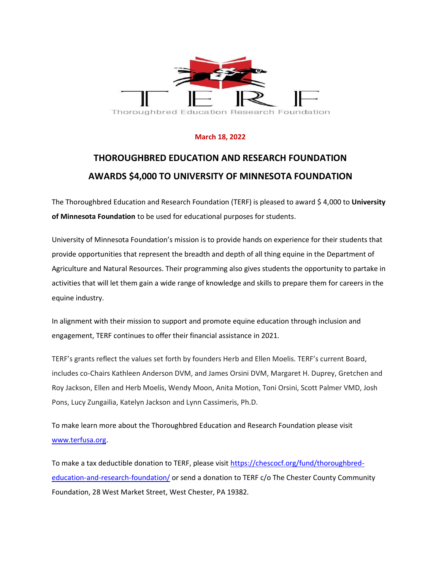

## **March 18, 2022**

## **THOROUGHBRED EDUCATION AND RESEARCH FOUNDATION AWARDS \$4,000 TO UNIVERSITY OF MINNESOTA FOUNDATION**

The Thoroughbred Education and Research Foundation (TERF) is pleased to award \$ 4,000 to **University of Minnesota Foundation** to be used for educational purposes for students.

University of Minnesota Foundation's mission is to provide hands on experience for their students that provide opportunities that represent the breadth and depth of all thing equine in the Department of Agriculture and Natural Resources. Their programming also gives students the opportunity to partake in activities that will let them gain a wide range of knowledge and skills to prepare them for careers in the equine industry.

In alignment with their mission to support and promote equine education through inclusion and engagement, TERF continues to offer their financial assistance in 2021.

TERF's grants reflect the values set forth by founders Herb and Ellen Moelis. TERF's current Board, includes co-Chairs Kathleen Anderson DVM, and James Orsini DVM, Margaret H. Duprey, Gretchen and Roy Jackson, Ellen and Herb Moelis, Wendy Moon, Anita Motion, Toni Orsini, Scott Palmer VMD, Josh Pons, Lucy Zungailia, Katelyn Jackson and Lynn Cassimeris, Ph.D.

To make learn more about the Thoroughbred Education and Research Foundation please visit [www.terfusa.org.](http://www.terfusa.org/)

To make a tax deductible donation to TERF, please visit [https://chescocf.org/fund/thoroughbred](https://chescocf.org/fund/thoroughbred-education-and-research-foundation/)[education-and-research-foundation/](https://chescocf.org/fund/thoroughbred-education-and-research-foundation/) or send a donation to TERF c/o The Chester County Community Foundation, 28 West Market Street, West Chester, PA 19382.